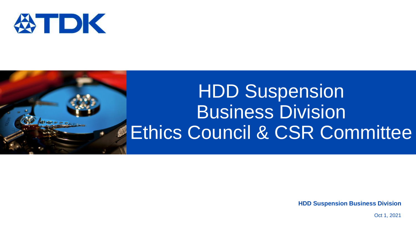

இலைமை

# HDD Suspension **Business Division Ethics Council & CSR Committee**

**HDD Suspension Business Division**

Oct 1, 2021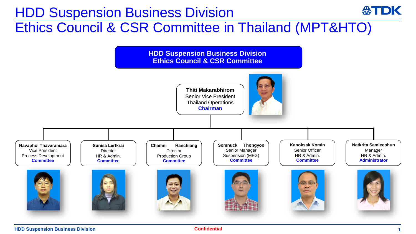## HDD Suspension Business Division Ethics Council & CSR Committee in Thailand (MPT&HTO)



**HDD Suspension Business Division 10 August 2016 11 August 2017 <b>12 August 2017 12 August 2017 12 August 2017 12 August 2017 12 August 2017 12 August 2017 12 August 2017 12 August 2017 12 August 2017**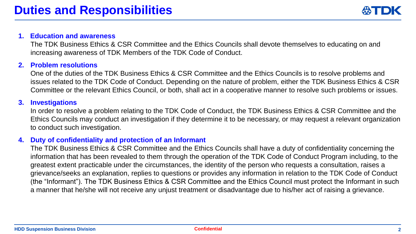#### **1. Education and awareness**

The TDK Business Ethics & CSR Committee and the Ethics Councils shall devote themselves to educating on and increasing awareness of TDK Members of the TDK Code of Conduct.

#### **2. Problem resolutions**

One of the duties of the TDK Business Ethics & CSR Committee and the Ethics Councils is to resolve problems and issues related to the TDK Code of Conduct. Depending on the nature of problem, either the TDK Business Ethics & CSR Committee or the relevant Ethics Council, or both, shall act in a cooperative manner to resolve such problems or issues.

#### **3. Investigations**

In order to resolve a problem relating to the TDK Code of Conduct, the TDK Business Ethics & CSR Committee and the Ethics Councils may conduct an investigation if they determine it to be necessary, or may request a relevant organization to conduct such investigation.

#### **4. Duty of confidentiality and protection of an Informant**

The TDK Business Ethics & CSR Committee and the Ethics Councils shall have a duty of confidentiality concerning the information that has been revealed to them through the operation of the TDK Code of Conduct Program including, to the greatest extent practicable under the circumstances, the identity of the person who requests a consultation, raises a grievance/seeks an explanation, replies to questions or provides any information in relation to the TDK Code of Conduct (the "Informant"). The TDK Business Ethics & CSR Committee and the Ethics Council must protect the Informant in such a manner that he/she will not receive any unjust treatment or disadvantage due to his/her act of raising a grievance.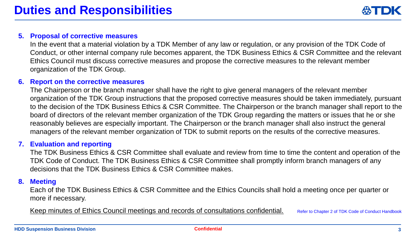#### **5. Proposal of corrective measures**

In the event that a material violation by a TDK Member of any law or regulation, or any provision of the TDK Code of Conduct, or other internal company rule becomes apparent, the TDK Business Ethics & CSR Committee and the relevant Ethics Council must discuss corrective measures and propose the corrective measures to the relevant member organization of the TDK Group.

#### **6. Report on the corrective measures**

The Chairperson or the branch manager shall have the right to give general managers of the relevant member organization of the TDK Group instructions that the proposed corrective measures should be taken immediately, pursuant to the decision of the TDK Business Ethics & CSR Committee. The Chairperson or the branch manager shall report to the board of directors of the relevant member organization of the TDK Group regarding the matters or issues that he or she reasonably believes are especially important. The Chairperson or the branch manager shall also instruct the general managers of the relevant member organization of TDK to submit reports on the results of the corrective measures.

#### **7. Evaluation and reporting**

The TDK Business Ethics & CSR Committee shall evaluate and review from time to time the content and operation of the TDK Code of Conduct. The TDK Business Ethics & CSR Committee shall promptly inform branch managers of any decisions that the TDK Business Ethics & CSR Committee makes.

#### **8. Meeting**

Each of the TDK Business Ethics & CSR Committee and the Ethics Councils shall hold a meeting once per quarter or more if necessary.

Keep minutes of Ethics Council meetings and records of consultations confidential. Refer to Chapter 2 of TDK Code of Conduct Handbook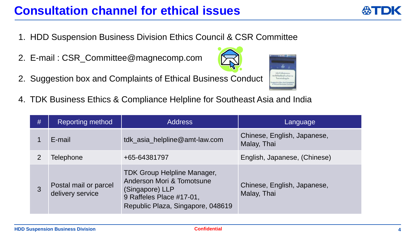### **Consultation channel for ethical issues**

- 1. HDD Suspension Business Division Ethics Council & CSR Committee
- 2. E-mail : CSR\_Committee@magnecomp.com
- 2. Suggestion box and Complaints of Ethical Business Conduct
- 4. TDK Business Ethics & Compliance Helpline for Southeast Asia and India

| # | Reporting method                          | <b>Address</b>                                                                                                                                      | <u>lLanguage</u>                           |
|---|-------------------------------------------|-----------------------------------------------------------------------------------------------------------------------------------------------------|--------------------------------------------|
|   | E-mail                                    | tdk_asia_helpline@amt-law.com                                                                                                                       | Chinese, English, Japanese,<br>Malay, Thai |
| 2 | Telephone                                 | +65-64381797                                                                                                                                        | English, Japanese, (Chinese)               |
| 3 | Postal mail or parcel<br>delivery service | <b>TDK Group Helpline Manager,</b><br>Anderson Mori & Tomotsune<br>(Singapore) LLP<br>9 Raffeles Place #17-01,<br>Republic Plaza, Singapore, 048619 | Chinese, English, Japanese,<br>Malay, Thai |